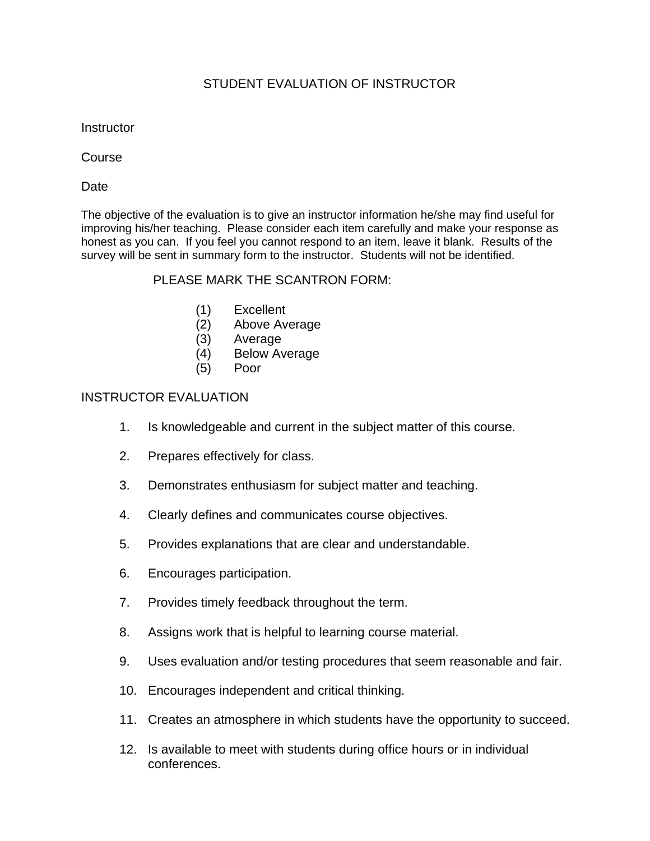## STUDENT EVALUATION OF INSTRUCTOR

**Instructor** 

Course

Date

The objective of the evaluation is to give an instructor information he/she may find useful for improving his/her teaching. Please consider each item carefully and make your response as honest as you can. If you feel you cannot respond to an item, leave it blank. Results of the survey will be sent in summary form to the instructor. Students will not be identified.

## PLEASE MARK THE SCANTRON FORM:

- (1) Excellent
- (2) Above Average
- (3) Average
- (4) Below Average
- (5) Poor

## INSTRUCTOR EVALUATION

- 1. Is knowledgeable and current in the subject matter of this course.
- 2. Prepares effectively for class.
- 3. Demonstrates enthusiasm for subject matter and teaching.
- 4. Clearly defines and communicates course objectives.
- 5. Provides explanations that are clear and understandable.
- 6. Encourages participation.
- 7. Provides timely feedback throughout the term.
- 8. Assigns work that is helpful to learning course material.
- 9. Uses evaluation and/or testing procedures that seem reasonable and fair.
- 10. Encourages independent and critical thinking.
- 11. Creates an atmosphere in which students have the opportunity to succeed.
- 12. Is available to meet with students during office hours or in individual conferences.